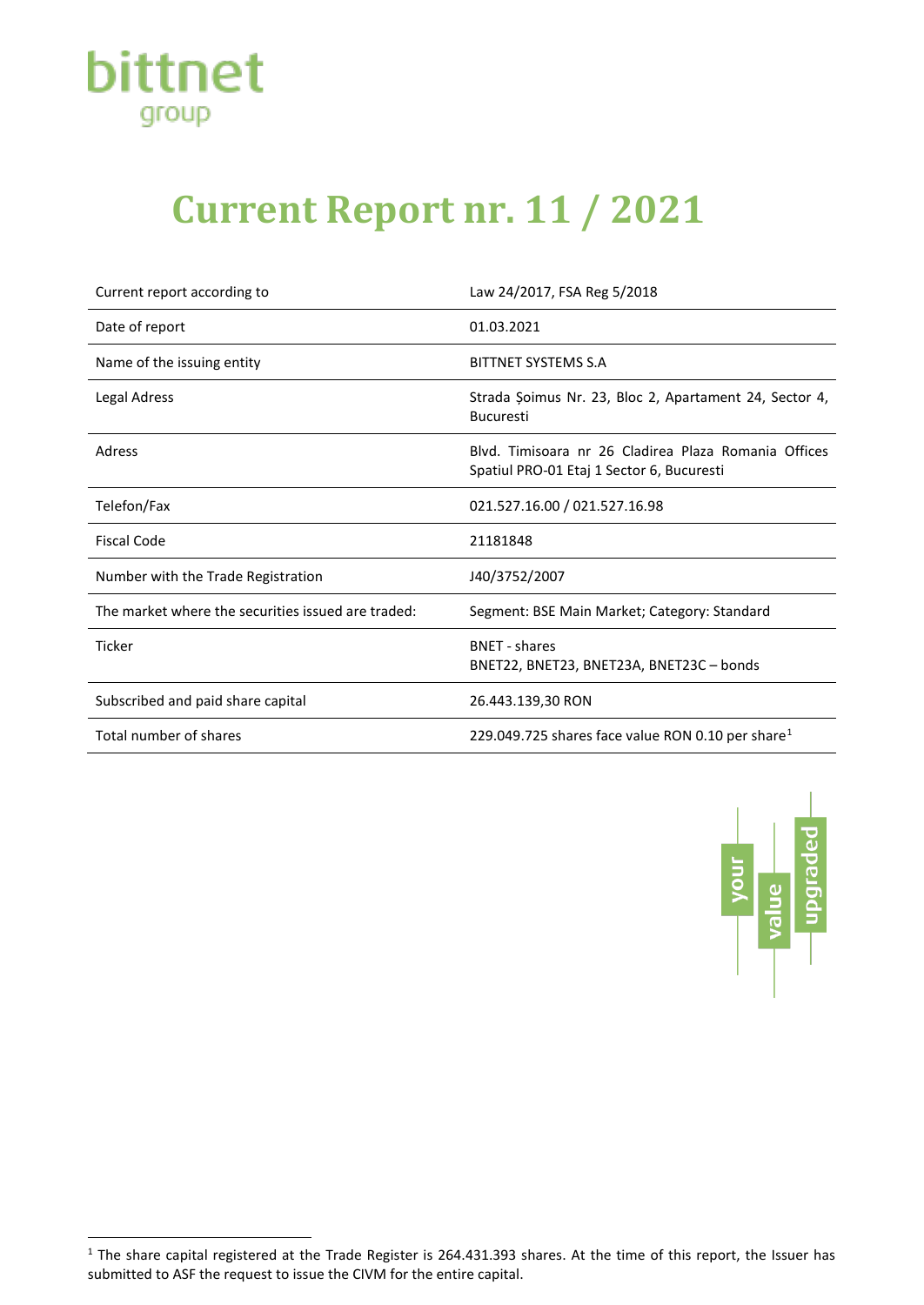

## **Current Report nr. 11 / 2021**

| Current report according to                        | Law 24/2017, FSA Reg 5/2018                                                                       |
|----------------------------------------------------|---------------------------------------------------------------------------------------------------|
| Date of report                                     | 01.03.2021                                                                                        |
| Name of the issuing entity                         | <b>BITTNET SYSTEMS S.A</b>                                                                        |
| Legal Adress                                       | Strada Șoimus Nr. 23, Bloc 2, Apartament 24, Sector 4,<br><b>Bucuresti</b>                        |
| Adress                                             | Blyd. Timisoara nr 26 Cladirea Plaza Romania Offices<br>Spatiul PRO-01 Etaj 1 Sector 6, Bucuresti |
| Telefon/Fax                                        | 021.527.16.00 / 021.527.16.98                                                                     |
| <b>Fiscal Code</b>                                 | 21181848                                                                                          |
| Number with the Trade Registration                 | J40/3752/2007                                                                                     |
| The market where the securities issued are traded: | Segment: BSE Main Market; Category: Standard                                                      |
| <b>Ticker</b>                                      | <b>BNFT</b> - shares<br>BNET22, BNET23, BNET23A, BNET23C - bonds                                  |
| Subscribed and paid share capital                  | 26.443.139,30 RON                                                                                 |
| Total number of shares                             | 229.049.725 shares face value RON 0.10 per share <sup>1</sup>                                     |



<span id="page-0-0"></span> $1$  The share capital registered at the Trade Register is 264.431.393 shares. At the time of this report, the Issuer has submitted to ASF the request to issue the CIVM for the entire capital.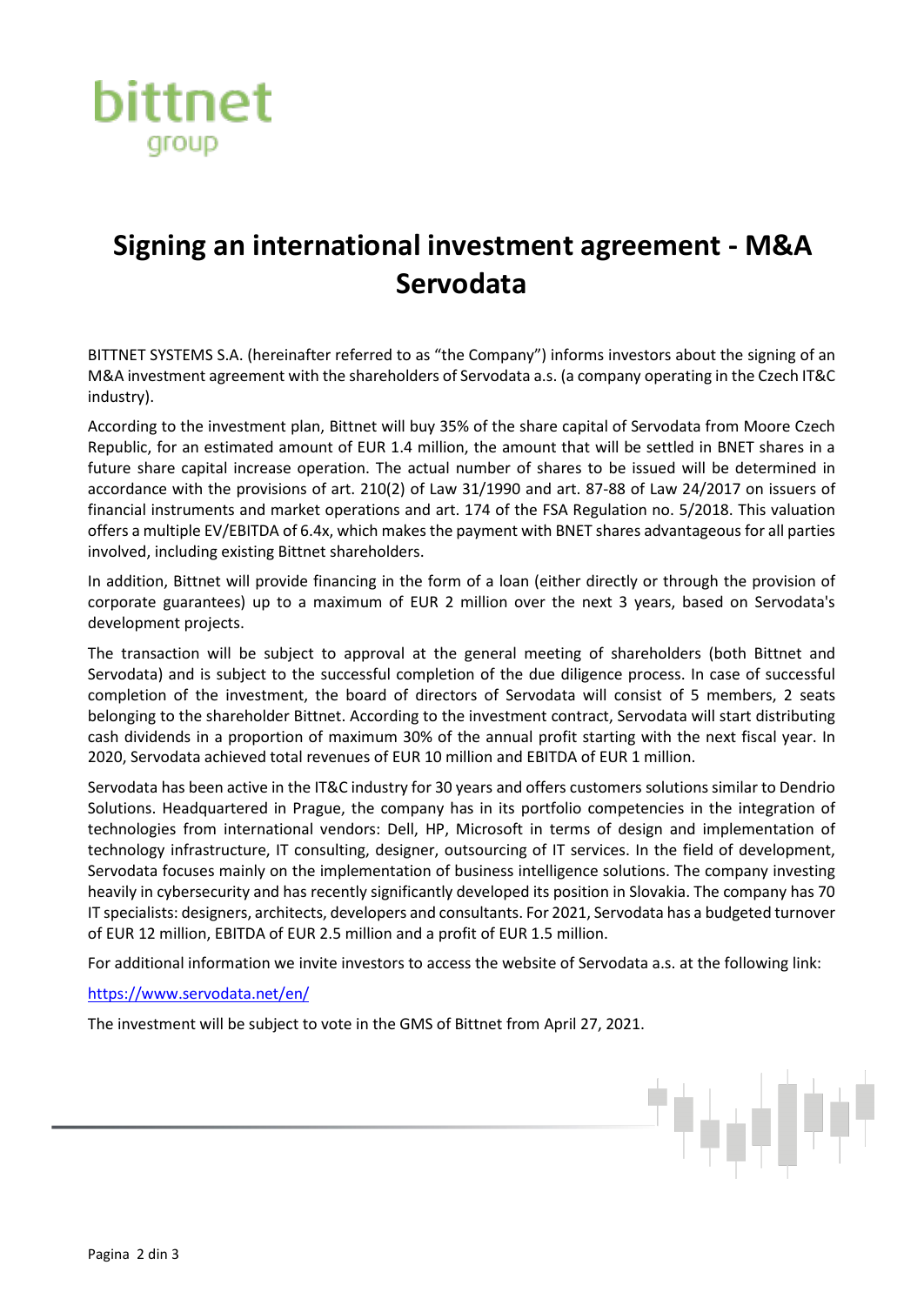

## **Signing an international investment agreement - M&A Servodata**

BITTNET SYSTEMS S.A. (hereinafter referred to as "the Company") informs investors about the signing of an M&A investment agreement with the shareholders of Servodata a.s. (a company operating in the Czech IT&C industry).

According to the investment plan, Bittnet will buy 35% of the share capital of Servodata from Moore Czech Republic, for an estimated amount of EUR 1.4 million, the amount that will be settled in BNET shares in a future share capital increase operation. The actual number of shares to be issued will be determined in accordance with the provisions of art. 210(2) of Law 31/1990 and art. 87-88 of Law 24/2017 on issuers of financial instruments and market operations and art. 174 of the FSA Regulation no. 5/2018. This valuation offers a multiple EV/EBITDA of 6.4x, which makes the payment with BNET shares advantageous for all parties involved, including existing Bittnet shareholders.

In addition, Bittnet will provide financing in the form of a loan (either directly or through the provision of corporate guarantees) up to a maximum of EUR 2 million over the next 3 years, based on Servodata's development projects.

The transaction will be subject to approval at the general meeting of shareholders (both Bittnet and Servodata) and is subject to the successful completion of the due diligence process. In case of successful completion of the investment, the board of directors of Servodata will consist of 5 members, 2 seats belonging to the shareholder Bittnet. According to the investment contract, Servodata will start distributing cash dividends in a proportion of maximum 30% of the annual profit starting with the next fiscal year. In 2020, Servodata achieved total revenues of EUR 10 million and EBITDA of EUR 1 million.

Servodata has been active in the IT&C industry for 30 years and offers customers solutions similar to Dendrio Solutions. Headquartered in Prague, the company has in its portfolio competencies in the integration of technologies from international vendors: Dell, HP, Microsoft in terms of design and implementation of technology infrastructure, IT consulting, designer, outsourcing of IT services. In the field of development, Servodata focuses mainly on the implementation of business intelligence solutions. The company investing heavily in cybersecurity and has recently significantly developed its position in Slovakia. The company has 70 IT specialists: designers, architects, developers and consultants. For 2021, Servodata has a budgeted turnover of EUR 12 million, EBITDA of EUR 2.5 million and a profit of EUR 1.5 million.

For additional information we invite investors to access the website of Servodata a.s. at the following link:

<https://www.servodata.net/en/>

The investment will be subject to vote in the GMS of Bittnet from April 27, 2021.